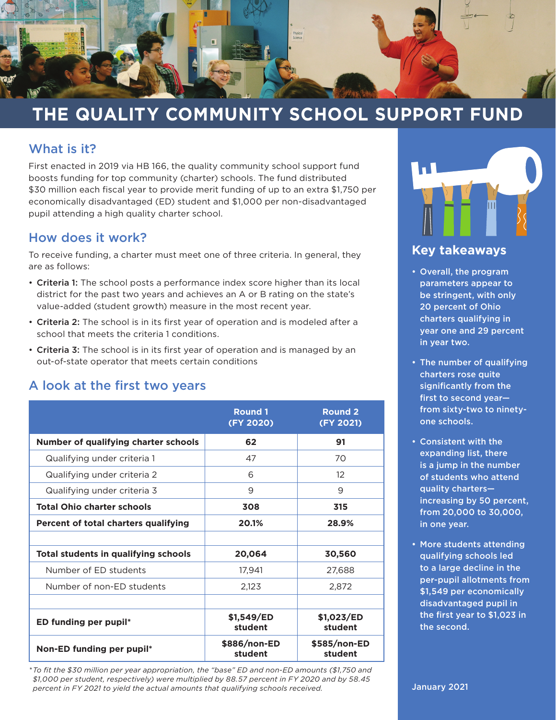

## **THE QUALITY COMMUNITY SCHOOL SUPPORT FUND**

### What is it?

First enacted in 2019 via HB 166, the quality community school support fund boosts funding for top community (charter) schools. The fund distributed \$30 million each fiscal year to provide merit funding of up to an extra \$1,750 per economically disadvantaged (ED) student and \$1,000 per non-disadvantaged pupil attending a high quality charter school.

#### How does it work?

To receive funding, a charter must meet one of three criteria. In general, they are as follows:

- Criteria 1: The school posts a performance index score higher than its local district for the past two years and achieves an A or B rating on the state's value-added (student growth) measure in the most recent year.
- Criteria 2: The school is in its first year of operation and is modeled after a school that meets the criteria 1 conditions.
- Criteria 3: The school is in its first year of operation and is managed by an out-of-state operator that meets certain conditions

## A look at the first two years

|                                             | <b>Round 1</b><br>(FY 2020) | <b>Round 2</b><br>(FY 2021) |
|---------------------------------------------|-----------------------------|-----------------------------|
| <b>Number of qualifying charter schools</b> | 62                          | 91                          |
| Qualifying under criteria 1                 | 47                          | 70                          |
| Qualifying under criteria 2                 | 6                           | $12^{1}$                    |
| Qualifying under criteria 3                 | 9                           | 9                           |
| <b>Total Ohio charter schools</b>           | 308                         | 315                         |
| Percent of total charters qualifying        | 20.1%                       | 28.9%                       |
|                                             |                             |                             |
| <b>Total students in qualifying schools</b> | 20,064                      | 30,560                      |
| Number of ED students                       | 17,941                      | 27,688                      |
| Number of non-ED students                   | 2,123                       | 2,872                       |
|                                             |                             |                             |
| ED funding per pupil*                       | \$1,549/ED<br>student       | \$1,023/ED<br>student       |
| Non-ED funding per pupil*                   | \$886/non-ED<br>student     | \$585/non-ED<br>student     |

*\*To fit the \$30 million per year appropriation, the "base" ED and non-ED amounts (\$1,750 and \$1,000 per student, respectively) were multiplied by 88.57 percent in FY 2020 and by 58.45 percent in FY 2021 to yield the actual amounts that qualifying schools received.*



### **Key takeaways**

- Overall, the program parameters appear to be stringent, with only 20 percent of Ohio charters qualifying in year one and 29 percent in year two.
- The number of qualifying charters rose quite significantly from the first to second year from sixty-two to ninetyone schools.
- Consistent with the expanding list, there is a jump in the number of students who attend quality charters increasing by 50 percent, from 20,000 to 30,000, in one year.
- More students attending qualifying schools led to a large decline in the per-pupil allotments from \$1,549 per economically disadvantaged pupil in the first year to \$1,023 in the second.